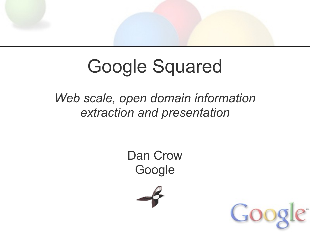# Google Squared

### *Web scale, open domain information extraction and presentation*

Dan Crow Google



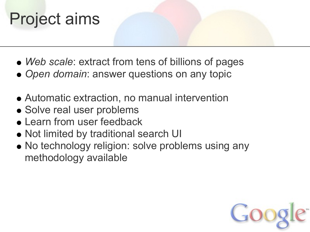# Project aims

- *Web scale*: extract from tens of billions of pages
- *Open domain*: answer questions on any topic
- Automatic extraction, no manual intervention
- Solve real user problems
- Learn from user feedback
- Not limited by traditional search UI
- No technology religion: solve problems using any methodology available

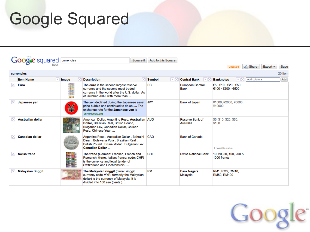# Google Squared

|   | <b>Google</b> squared currencies            |       |                                                                                                                                                                     | Square it | Add to this Square    |                                |                                                                                                |             |               |         |
|---|---------------------------------------------|-------|---------------------------------------------------------------------------------------------------------------------------------------------------------------------|-----------|-----------------------|--------------------------------|------------------------------------------------------------------------------------------------|-------------|---------------|---------|
|   |                                             |       |                                                                                                                                                                     |           |                       |                                | Unsaved                                                                                        | & Share     | Export $\sim$ | Save    |
|   | currencies                                  |       |                                                                                                                                                                     |           |                       |                                |                                                                                                |             |               | 20 item |
|   | <b>Item Name</b><br>$\overline{\mathbf{v}}$ | Image | <b>Description</b>                                                                                                                                                  |           | <b>Symbol</b><br>I▼IX | Central Bank V                 | l v IIX<br><b>Banknotes</b>                                                                    | Add columns |               | Add     |
| × | Euro                                        | 88    | The euro is the second largest reserve<br>currency and the second most traded<br>currency in the world after the U.S. dollar. As<br>of October 2009, with more than |           | EC                    | European Central<br>Bank       | $\epsilon$ 5 · $\epsilon$ 10 · $\epsilon$ 20 · $\epsilon$ 50 ·<br>$€100 \cdot €200 \cdot €500$ |             |               |         |
| × | Japanese yen                                | ¥     | The yen declined during the Japanese asset<br>price bubble and continued to do so  The<br>exchange rate for the <b>Japanese ven</b> is<br>en.wikipedia.org          |           | <b>JPY</b>            | Bank of Japan                  | ¥1000, ¥2000, ¥5000,<br>¥10000                                                                 |             |               |         |
| × | <b>Australian dollar</b>                    |       | American Dollar, Argentine Peso, Australian AUD<br>Dollar, Brazilian Real, British Pound,<br>Bulgarian Lev, Canadian Dollar, Chilean<br>Peso, Chinese Yuan          |           |                       | Reserve Bank of<br>Australia   | \$5, \$10, \$20, \$50,<br>\$100                                                                |             |               |         |
| × | <b>Canadian dollar</b>                      |       | Argentine Peso, Australian Dollar, Bahraini<br>Dinar . Botswana Pula . Brazilian Real.<br>British Pound. Brunei dollar. Bulgarian Lev.<br><b>Canadian Dollar </b>   |           | <b>CAD</b>            | <b>Bank of Canada</b>          | 1 possible value                                                                               |             |               |         |
| × | <b>Swiss franc</b>                          |       | The franc (German: Franken, French and<br>Romansh: franc, Italian: franco; code: CHF)<br>is the currency and legal tender of<br>Switzerland and Liechtenstein;      |           | <b>CHF</b>            | <b>Swiss National Bank</b>     | 10, 20, 50, 100, 200 &<br>1000 francs                                                          |             |               |         |
| × | <b>Malaysian ringgit</b>                    |       | The Malaysian ringgit (plural: ringgit;<br>currency code MYR; formerly the Malaysian<br>dollar) is the currency of Malaysia. It is<br>divided into 100 sen (cents)  |           | <b>RM</b>             | <b>Bank Negara</b><br>Malaysia | RM1, RM5, RM10,<br>RM50, RM100                                                                 |             |               |         |

Google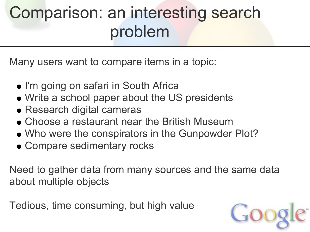# Comparison: an interesting search problem

Many users want to compare items in a topic:

- I'm going on safari in South Africa
- Write a school paper about the US presidents
- Research digital cameras
- Choose a restaurant near the British Museum
- Who were the conspirators in the Gunpowder Plot?
- Compare sedimentary rocks

Need to gather data from many sources and the same data about multiple objects

Tedious, time consuming, but high value

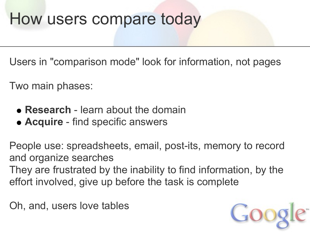## How users compare today

Users in "comparison mode" look for information, not pages

Two main phases:

- **Research** learn about the domain
- **Acquire** find specific answers

People use: spreadsheets, email, post-its, memory to record and organize searches They are frustrated by the inability to find information, by the effort involved, give up before the task is complete

Oh, and, users love tables

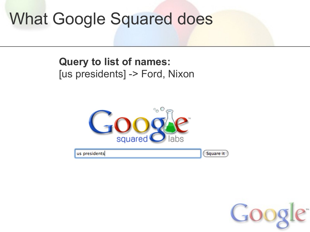#### **Query to list of names:** [us presidents] -> Ford, Nixon



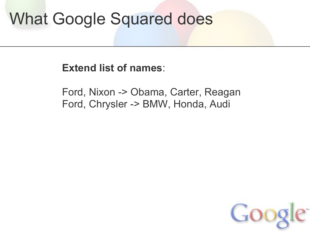**Extend list of names**:

Ford, Nixon -> Obama, Carter, Reagan Ford, Chrysler -> BMW, Honda, Audi

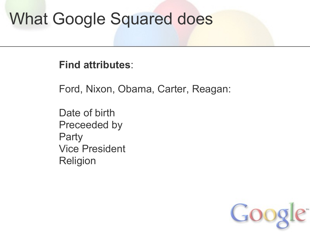**Find attributes**:

Ford, Nixon, Obama, Carter, Reagan:

Date of birth Preceeded by **Party** Vice President Religion

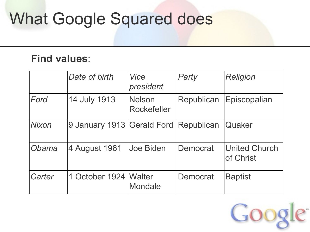### **Find values**:

|              | Date of birth                         | Vice<br>president                   | Party      | <b>Religion</b>                   |
|--------------|---------------------------------------|-------------------------------------|------------|-----------------------------------|
| Ford         | 14 July 1913                          | <b>Nelson</b><br><b>Rockefeller</b> | Republican | Episcopalian                      |
| <b>Nixon</b> | 9 January 1913 Gerald Ford Republican |                                     |            | <b>Quaker</b>                     |
| Obama        | 4 August 1961                         | Joe Biden                           | Democrat   | <b>United Church</b><br>of Christ |
| Carter       | 1 October 1924   Walter               | Mondale                             | Democrat   | <b>Baptist</b>                    |

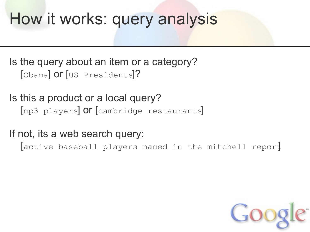# How it works: query analysis

Is the query about an item or a category? [Obama] **Or** [US Presidents]?

Is this a product or a local query? [mp3 players] or [cambridge restaurants]

If not, its a web search query:

active baseball players named in the mitchell report

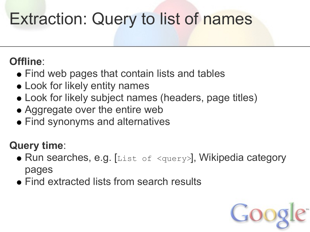# Extraction: Query to list of names

### **Offline**:

- Find web pages that contain lists and tables
- Look for likely entity names
- Look for likely subject names (headers, page titles)
- Aggregate over the entire web
- Find synonyms and alternatives

### **Query time**:

- Run searches, e.g. [List of <query>], Wikipedia category pages
- Find extracted lists from search results

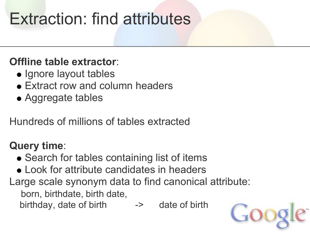# Extraction: find attributes

### **Offline table extractor**:

- Ignore layout tables
- Extract row and column headers
- Aggregate tables

Hundreds of millions of tables extracted

### **Query time**:

- Search for tables containing list of items
- Look for attribute candidates in headers
- Large scale synonym data to find canonical attribute:

born, birthdate, birth date,

birthday, date of birth -> date of birth

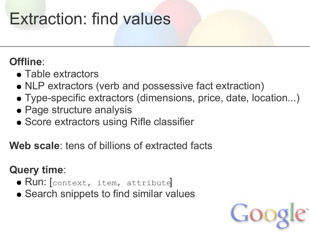# Extraction: find values

### **Offline**:

- Table extractors
- NLP extractors (verb and possessive fact extraction)
- Type-specific extractors (dimensions, price, date, location...)
- Page structure analysis
- **Score extractors using Rifle classifier**

**Web scale**: tens of billions of extracted facts

### **Query time**:

- **Run:** [context, item, attribute]
- Search snippets to find similar values

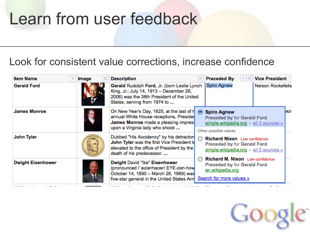## Learn from user feedback

#### Look for consistent value corrections, increase confidence

| <b>Item Name</b>         | Image | <b>Description</b>                                                                                                                                                    |                                                                                                                                   | <b>Preceded By</b><br>l▼liX                                                                                                 | <b>Vice President</b> |  |  |
|--------------------------|-------|-----------------------------------------------------------------------------------------------------------------------------------------------------------------------|-----------------------------------------------------------------------------------------------------------------------------------|-----------------------------------------------------------------------------------------------------------------------------|-----------------------|--|--|
| <b>Gerald Ford</b>       |       | Gerald Rudolph Ford, Jr. (born Leslie Lynch<br>King, Jr.; July 14, 1913 - December 26,<br>2006) was the 38th President of the United<br>States, serving from 1974 to  |                                                                                                                                   | Spiro Agnew                                                                                                                 | Nelson Rockefelle     |  |  |
| <b>James Monroe</b>      |       | On New Year's Day, 1825, at the last of h<br>annual White House receptions, Presider<br>James Monroe made a pleasing impres:<br>upon a Virginia lady who shook        | $\odot$                                                                                                                           | <b>Spiro Agnew</b><br><b>Preceded by for Gerald Ford</b><br>simple.wikipedia.org - all 3 sources »<br>Other possible values | bkir                  |  |  |
| John Tyler               |       | Dubbed "His Accidency" by his detractor<br>John Tyler was the first Vice President to<br>elevated to the office of President by the<br>death of his predecessor.      | <b>Richard Nixon</b> Low confidence<br>$\bigcirc$<br><b>Preceded by for Gerald Ford</b><br>simple.wikipedia.org - all 2 sources » |                                                                                                                             |                       |  |  |
| <b>Dwight Eisenhower</b> |       | <b>Dwight David "Ike" Eisenhower</b><br>(pronounced /'aizenhauer/ EYE-zen-how<br>October 14, 1890 - March 28, 1969) was<br>five-star general in the United States Arm |                                                                                                                                   | Richard M. Nixon Low confidence<br><b>Preceded by for Gerald Ford</b><br>en.wikipedia.org<br>Search for more values »       |                       |  |  |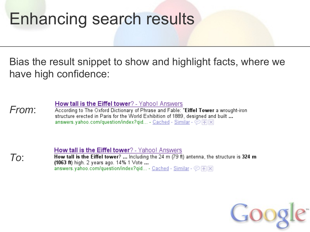## Enhancing search results

Bias the result snippet to show and highlight facts, where we have high confidence:

How tall is the Eiffel tower? - Yahoo! Answers

*From*: According to The Oxford Dictionary of Phrase and Fable: "Eiffel Tower a wrought-iron structure erected in Paris for the World Exhibition of 1889, designed and built ... answers.yahoo.com/question/index?qid... - Cached - Similar -  $\circledcirc$  |  $\circledcirc$  |  $\times$ 

*To*:

**How tall is the Eiffel tower**? - Yahoo! Answers How tall is the Eiffel tower? ... Including the 24 m  $(79 \text{ ft})$  antenna, the structure is 324 m (1063 ft) high. 2 years ago. 14% 1 Vote ... answers.yahoo.com/question/index?qid... - Cached - Similar -  $\circledR$  \\

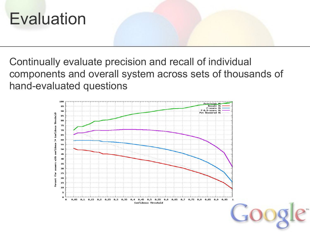

Continually evaluate precision and recall of individual components and overall system across sets of thousands of hand-evaluated questions

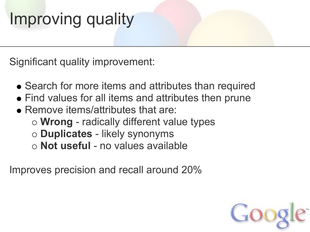# Improving quality

Significant quality improvement:

- Search for more items and attributes than required
- Find values for all items and attributes then prune
- Remove items/attributes that are:
	- **Wrong** radically different value types
	- **Duplicates** likely synonyms
	- **Not useful** no values available

Improves precision and recall around 20%

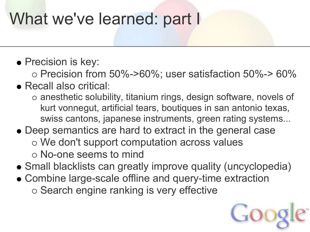# What we've learned: part I

### • Precision is key:

 $\circ$  Precision from 50%->60%; user satisfaction 50%-> 60%

### Recall also critical:

- anesthetic solubility, titanium rings, design software, novels of kurt vonnegut, artificial tears, boutiques in san antonio texas, swiss cantons, japanese instruments, green rating systems...
- Deep semantics are hard to extract in the general case We don't support computation across values No-one seems to mind
- Small blacklists can greatly improve quality (uncyclopedia)
- Combine large-scale offline and query-time extraction o Search engine ranking is very effective